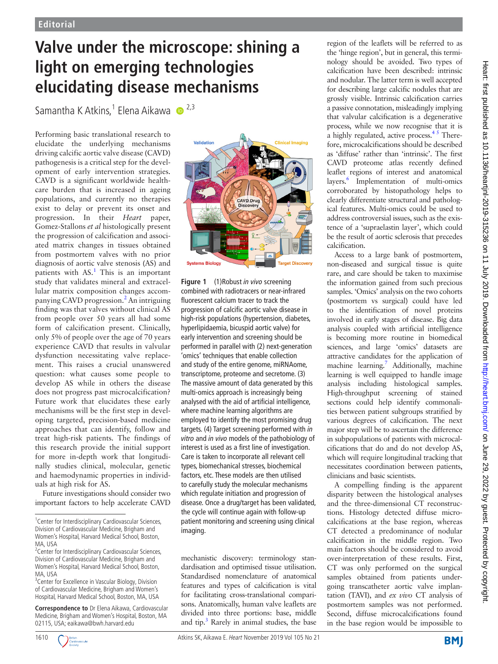## **Valve under the microscope: shining a light on emerging technologies elucidating disease mechanisms**

Samantha K Atkins,<sup>1</sup> Elena Aikawa **@** <sup>2,3</sup>

Performing basic translational research to elucidate the underlying mechanisms driving calcific aortic valve disease (CAVD) pathogenesis is a critical step for the development of early intervention strategies. CAVD is a significant worldwide healthcare burden that is increased in ageing populations, and currently no therapies exist to delay or prevent its onset and progression. In their *Heart* paper, Gomez-Stallons *et al* histologically present the progression of calcification and associated matrix changes in tissues obtained from postmortem valves with no prior diagnosis of aortic valve stenosis (AS) and patients with  $AS<sup>1</sup>$  $AS<sup>1</sup>$  $AS<sup>1</sup>$ . This is an important study that validates mineral and extracellular matrix composition changes accom-panying CAVD progression.<sup>[2](#page-1-1)</sup> An intriguing finding was that valves without clinical AS from people over 50 years all had some form of calcification present. Clinically, only 5% of people over the age of 70 years experience CAVD that results in valvular dysfunction necessitating valve replacement. This raises a crucial unanswered question: what causes some people to develop AS while in others the disease does not progress past microcalcification? Future work that elucidates these early mechanisms will be the first step in developing targeted, precision-based medicine approaches that can identify, follow and treat high-risk patients. The findings of this research provide the initial support for more in-depth work that longitudinally studies clinical, molecular, genetic and haemodynamic properties in individuals at high risk for AS.

Future investigations should consider two important factors to help accelerate CAVD

**Correspondence to** Dr Elena Aikawa, Cardiovascular Medicine, Brigham and Women's Hospital, Boston, MA 02115, USA; eaikawa@bwh.harvard.edu







<span id="page-0-0"></span>**Figure 1** (1)Robust *in vivo* screening combined with radiotracers or near-infrared fluorescent calcium tracer to track the progression of calcific aortic valve disease in high-risk populations (hypertension, diabetes, hyperlipidaemia, bicuspid aortic valve) for early intervention and screening should be performed in parallel with (2) next-generation 'omics' techniques that enable collection and study of the entire genome, miRNAome, transcriptome, proteome and secretome. (3) The massive amount of data generated by this multi-omics approach is increasingly being analysed with the aid of artificial intelligence, where machine learning algorithms are employed to identify the most promising drug targets. (4) Target screening performed with *in vitro* and *in vivo* models of the pathobiology of interest is used as a first line of investigation. Care is taken to incorporate all relevant cell types, biomechanical stresses, biochemical factors, etc. These models are then utilised to carefully study the molecular mechanisms which regulate initiation and progression of disease. Once a drug/target has been validated, the cycle will continue again with follow-up patient monitoring and screening using clinical imaging.

mechanistic discovery: terminology standardisation and optimised tissue utilisation. Standardised nomenclature of anatomical features and types of calcification is vital for facilitating cross-translational comparisons. Anatomically, human valve leaflets are divided into three portions: base, middle and tip.<sup>[3](#page-1-2)</sup> Rarely in animal studies, the base region of the leaflets will be referred to as the 'hinge region', but in general, this terminology should be avoided. Two types of calcification have been described: intrinsic and nodular. The latter term is well accepted for describing large calcific nodules that are grossly visible. Intrinsic calcification carries a passive connotation, misleadingly implying that valvular calcification is a degenerative process, while we now recognise that it is a highly regulated, active process.  $4<sup>5</sup>$  Therefore, microcalcifications should be described as 'diffuse' rather than 'intrinsic'. The first CAVD proteome atlas recently defined leaflet regions of interest and anatomical layers.<sup>6</sup> Implementation of multi-omics corroborated by histopathology helps to clearly differentiate structural and pathological features. Multi-omics could be used to address controversial issues, such as the existence of a 'supraelastin layer', which could be the result of aortic sclerosis that precedes calcification.

Access to a large bank of postmortem, non-diseased and surgical tissue is quite rare, and care should be taken to maximise the information gained from such precious samples. 'Omics' analysis on the two cohorts (postmortem vs surgical) could have led to the identification of novel proteins involved in early stages of disease. Big data analysis coupled with artificial intelligence is becoming more routine in biomedical sciences, and large 'omics' datasets are attractive candidates for the application of machine learning.<sup>7</sup> Additionally, machine learning is well equipped to handle image analysis including histological samples. High-throughput screening of stained sections could help identify commonalities between patient subgroups stratified by various degrees of calcification. The next major step will be to ascertain the difference in subpopulations of patients with microcalcifications that do and do not develop AS, which will require longitudinal tracking that necessitates coordination between patients, clinicians and basic scientists.

A compelling finding is the apparent disparity between the histological analyses and the three-dimensional CT reconstructions. Histology detected diffuse microcalcifications at the base region, whereas CT detected a predominance of nodular calcification in the middle region. Two main factors should be considered to avoid over-interpretation of these results. First, CT was only performed on the surgical samples obtained from patients undergoing transcatheter aortic valve implantation (TAVI), and *ex vivo* CT analysis of postmortem samples was not performed. Second, diffuse microcalcifications found in the base region would be impossible to



<sup>&</sup>lt;sup>1</sup> Center for Interdisciplinary Cardiovascular Sciences, Division of Cardiovascular Medicine, Brigham and Women's Hospital, Harvard Medical School, Boston, MA, USA

<sup>&</sup>lt;sup>2</sup> Center for Interdisciplinary Cardiovascular Sciences, Division of Cardiovascular Medicine, Brigham and Women's Hospital, Harvard Medical School, Boston, MA, USA

<sup>&</sup>lt;sup>3</sup> Center for Excellence in Vascular Biology, Division of Cardiovascular Medicine, Brigham and Women's Hospital, Harvard Medical School, Boston, MA, USA